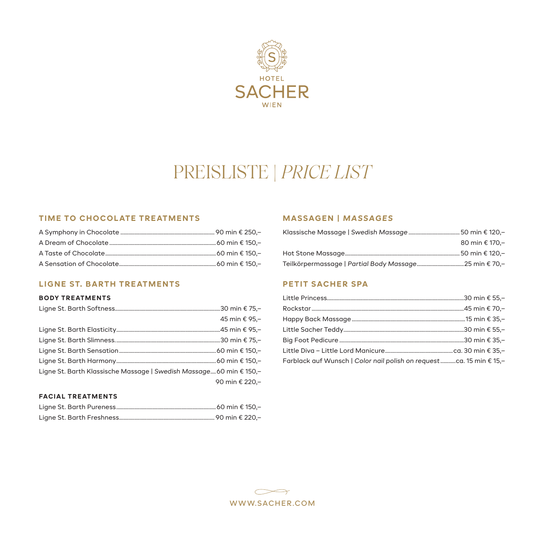

# PREISLISTE | *PRICE LIST*

## **TIME TO CHOCOLATE TREATMENTS**

# **LIGNE ST. BARTH TREATMENTS**

#### **BODY TREATMENTS**

|                                                                     | 45 min € 95,-  |
|---------------------------------------------------------------------|----------------|
|                                                                     |                |
|                                                                     |                |
|                                                                     |                |
|                                                                     |                |
| Ligne St. Barth Klassische Massage   Swedish Massage 60 min € 150,- |                |
|                                                                     | 90 min € 220,- |

#### **FACIAL TREATMENTS**

## **MASSAGEN |** *MASSAGES*

| 80 min € 170.- |
|----------------|
|                |
|                |

# **PETIT SACHER SPA**

| Farblack auf Wunsch   Color nail polish on request ca. 15 min € 15,- |  |
|----------------------------------------------------------------------|--|